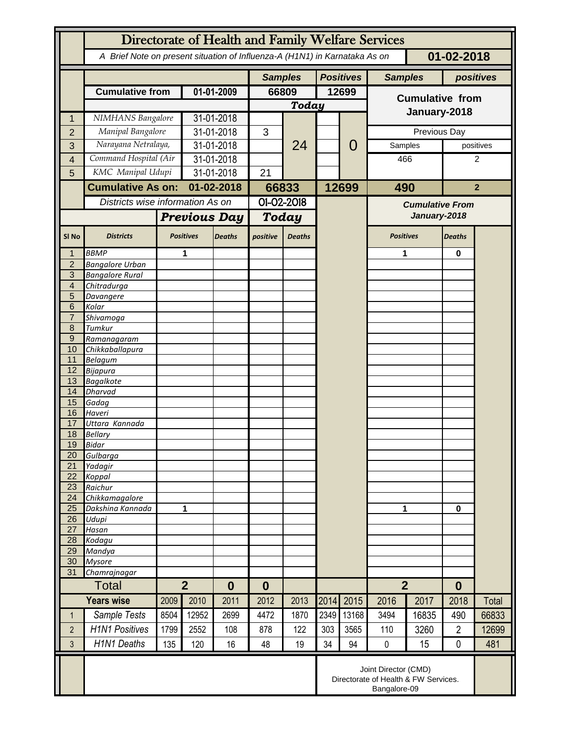|                                  | Directorate of Health and Family Welfare Services                                        |      |                                    |               |                |               |       |                  |                                        |       |                |                |  |
|----------------------------------|------------------------------------------------------------------------------------------|------|------------------------------------|---------------|----------------|---------------|-------|------------------|----------------------------------------|-------|----------------|----------------|--|
|                                  | A Brief Note on present situation of Influenza-A (H1N1) in Karnataka As on<br>01-02-2018 |      |                                    |               |                |               |       |                  |                                        |       |                |                |  |
|                                  |                                                                                          |      |                                    |               | <b>Samples</b> |               |       | <b>Positives</b> | <b>Samples</b>                         |       | positives      |                |  |
|                                  | <b>Cumulative from</b>                                                                   |      | 01-01-2009                         |               | 66809          |               | 12699 |                  | <b>Cumulative from</b><br>January-2018 |       |                |                |  |
|                                  |                                                                                          |      |                                    |               | <b>Today</b>   |               |       |                  |                                        |       |                |                |  |
| 1                                | NIMHANS Bangalore                                                                        |      | 31-01-2018                         |               |                | 24            |       |                  |                                        |       |                |                |  |
| $\overline{2}$                   | Manipal Bangalore                                                                        |      | 31-01-2018                         |               | 3              |               |       | 0                | Previous Day                           |       |                |                |  |
| 3                                | Narayana Netralaya,                                                                      |      | 31-01-2018                         |               |                |               |       |                  | Samples                                |       |                | positives      |  |
| 4                                | Command Hospital (Air                                                                    |      | 31-01-2018                         |               |                |               |       |                  | 466                                    |       | 2              |                |  |
| 5                                | KMC Manipal Udupi                                                                        |      | 31-01-2018                         |               | 21             |               |       |                  |                                        |       |                |                |  |
|                                  | <b>Cumulative As on:</b>                                                                 |      | 01-02-2018                         |               | 66833          |               |       | 12699            | 490                                    |       |                | $\overline{2}$ |  |
|                                  | Districts wise information As on                                                         |      |                                    |               | 01-02-2018     |               |       |                  | <b>Cumulative From</b>                 |       |                |                |  |
|                                  |                                                                                          |      | <b>Previous Day</b>                |               | Today          |               |       |                  | January-2018                           |       |                |                |  |
|                                  |                                                                                          |      |                                    |               |                |               |       |                  |                                        |       |                |                |  |
| SI <sub>No</sub>                 | <b>Districts</b>                                                                         |      | <b>Positives</b>                   | <b>Deaths</b> | positive       | <b>Deaths</b> |       |                  | <b>Positives</b>                       |       | <b>Deaths</b>  |                |  |
|                                  | <b>BBMP</b>                                                                              |      | 1                                  |               |                |               |       |                  | 1                                      |       | $\bf{0}$       |                |  |
| $\overline{2}$<br>$\overline{3}$ | <b>Bangalore Urban</b>                                                                   |      |                                    |               |                |               |       |                  |                                        |       |                |                |  |
| $\overline{4}$                   | <b>Bangalore Rural</b><br>Chitradurga                                                    |      |                                    |               |                |               |       |                  |                                        |       |                |                |  |
| 5                                | Davangere                                                                                |      |                                    |               |                |               |       |                  |                                        |       |                |                |  |
| 6                                | Kolar                                                                                    |      |                                    |               |                |               |       |                  |                                        |       |                |                |  |
| $\overline{7}$                   | Shivamoga                                                                                |      |                                    |               |                |               |       |                  |                                        |       |                |                |  |
| 8                                | Tumkur                                                                                   |      |                                    |               |                |               |       |                  |                                        |       |                |                |  |
| $\overline{9}$<br>10             | Ramanagaram<br>Chikkaballapura                                                           |      |                                    |               |                |               |       |                  |                                        |       |                |                |  |
| 11                               | <b>Belagum</b>                                                                           |      |                                    |               |                |               |       |                  |                                        |       |                |                |  |
| 12                               | <b>Bijapura</b>                                                                          |      |                                    |               |                |               |       |                  |                                        |       |                |                |  |
| 13                               | <b>Bagalkote</b>                                                                         |      |                                    |               |                |               |       |                  |                                        |       |                |                |  |
| 14                               | <b>Dharvad</b>                                                                           |      |                                    |               |                |               |       |                  |                                        |       |                |                |  |
| 15<br>16                         | Gadag<br>Haveri                                                                          |      |                                    |               |                |               |       |                  |                                        |       |                |                |  |
| 17                               | Uttara Kannada                                                                           |      |                                    |               |                |               |       |                  |                                        |       |                |                |  |
| 18                               | <b>Bellary</b>                                                                           |      |                                    |               |                |               |       |                  |                                        |       |                |                |  |
| 19                               | <b>Bidar</b>                                                                             |      |                                    |               |                |               |       |                  |                                        |       |                |                |  |
| 20                               | Gulbarga                                                                                 |      |                                    |               |                |               |       |                  |                                        |       |                |                |  |
| 21                               | Yadagir                                                                                  |      |                                    |               |                |               |       |                  |                                        |       |                |                |  |
| 22<br>23                         | Koppal<br>Raichur                                                                        |      |                                    |               |                |               |       |                  |                                        |       |                |                |  |
| 24                               | Chikkamagalore                                                                           |      |                                    |               |                |               |       |                  |                                        |       |                |                |  |
| 25                               | Dakshina Kannada                                                                         | 1    |                                    |               |                |               |       |                  | 1                                      |       | $\mathbf 0$    |                |  |
| 26                               | Udupi                                                                                    |      |                                    |               |                |               |       |                  |                                        |       |                |                |  |
| 27<br>28                         | Hasan                                                                                    |      |                                    |               |                |               |       |                  |                                        |       |                |                |  |
| 29                               | Kodagu<br>Mandya                                                                         |      |                                    |               |                |               |       |                  |                                        |       |                |                |  |
| 30                               | <b>Mysore</b>                                                                            |      |                                    |               |                |               |       |                  |                                        |       |                |                |  |
| 31                               | Chamrajnagar                                                                             |      |                                    |               |                |               |       |                  |                                        |       |                |                |  |
|                                  | <b>Total</b>                                                                             |      | $\overline{2}$<br>$\boldsymbol{0}$ |               | $\bf{0}$       |               |       |                  | $\overline{2}$                         |       | $\bf{0}$       |                |  |
|                                  | <b>Years wise</b>                                                                        | 2009 | 2010                               | 2011          | 2012           | 2013          | 2014  | 2015             | 2016                                   | 2017  | 2018           | Total          |  |
| 1                                | Sample Tests                                                                             | 8504 | 12952                              | 2699          | 4472           | 1870          | 2349  | 13168            | 3494                                   | 16835 | 490            | 66833          |  |
| $\overline{2}$                   | <b>H1N1 Positives</b>                                                                    | 1799 | 2552                               | 108           | 878            | 122           | 303   | 3565             | 110                                    | 3260  | $\overline{2}$ | 12699          |  |
| 3                                | <b>H1N1 Deaths</b>                                                                       | 135  | 120                                | 16            | 48             | 19            | 34    | 94               | $\pmb{0}$                              | 15    | $\mathbf 0$    | 481            |  |
|                                  | Joint Director (CMD)<br>Directorate of Health & FW Services.<br>Bangalore-09             |      |                                    |               |                |               |       |                  |                                        |       |                |                |  |